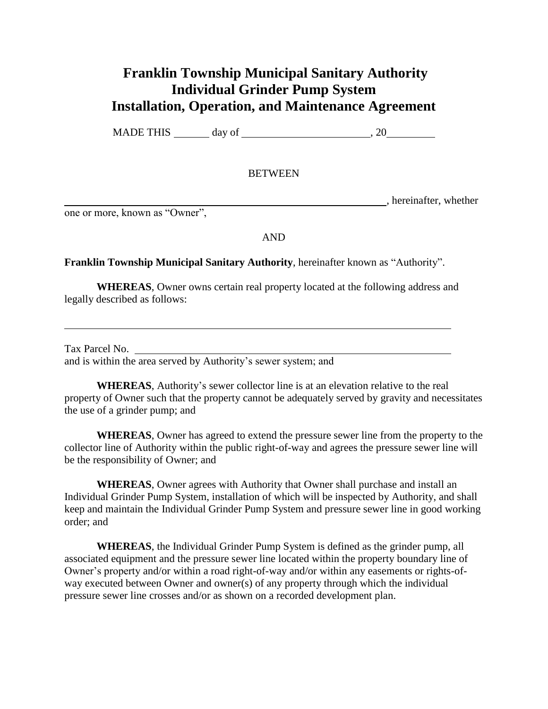## **Franklin Township Municipal Sanitary Authority Individual Grinder Pump System Installation, Operation, and Maintenance Agreement**

MADE THIS day of , 20

## **BETWEEN**

, hereinafter, whether

one or more, known as "Owner",

AND

## **Franklin Township Municipal Sanitary Authority**, hereinafter known as "Authority".

**WHEREAS**, Owner owns certain real property located at the following address and legally described as follows:

Tax Parcel No. and is within the area served by Authority's sewer system; and

**WHEREAS**, Authority's sewer collector line is at an elevation relative to the real property of Owner such that the property cannot be adequately served by gravity and necessitates the use of a grinder pump; and

**WHEREAS**, Owner has agreed to extend the pressure sewer line from the property to the collector line of Authority within the public right-of-way and agrees the pressure sewer line will be the responsibility of Owner; and

**WHEREAS**, Owner agrees with Authority that Owner shall purchase and install an Individual Grinder Pump System, installation of which will be inspected by Authority, and shall keep and maintain the Individual Grinder Pump System and pressure sewer line in good working order; and

**WHEREAS**, the Individual Grinder Pump System is defined as the grinder pump, all associated equipment and the pressure sewer line located within the property boundary line of Owner's property and/or within a road right-of-way and/or within any easements or rights-ofway executed between Owner and owner(s) of any property through which the individual pressure sewer line crosses and/or as shown on a recorded development plan.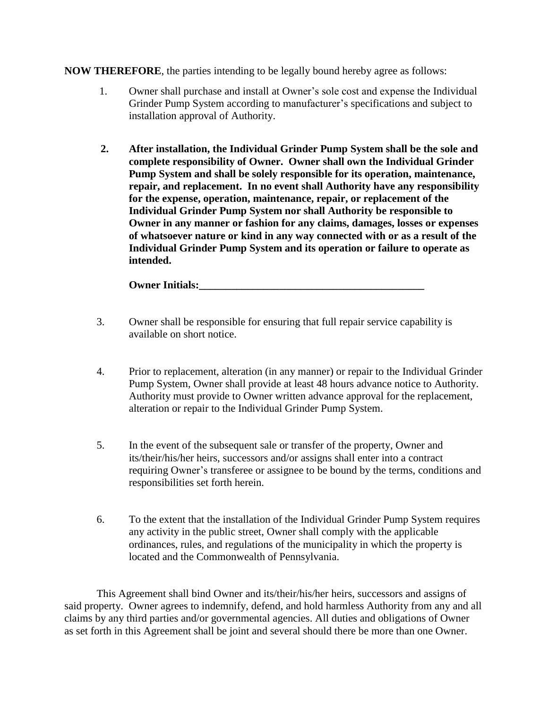**NOW THEREFORE**, the parties intending to be legally bound hereby agree as follows:

- 1. Owner shall purchase and install at Owner's sole cost and expense the Individual Grinder Pump System according to manufacturer's specifications and subject to installation approval of Authority.
- **2. After installation, the Individual Grinder Pump System shall be the sole and complete responsibility of Owner. Owner shall own the Individual Grinder Pump System and shall be solely responsible for its operation, maintenance, repair, and replacement. In no event shall Authority have any responsibility for the expense, operation, maintenance, repair, or replacement of the Individual Grinder Pump System nor shall Authority be responsible to Owner in any manner or fashion for any claims, damages, losses or expenses of whatsoever nature or kind in any way connected with or as a result of the Individual Grinder Pump System and its operation or failure to operate as intended.**

**Owner Initials:** 

- 3. Owner shall be responsible for ensuring that full repair service capability is available on short notice.
- 4. Prior to replacement, alteration (in any manner) or repair to the Individual Grinder Pump System, Owner shall provide at least 48 hours advance notice to Authority. Authority must provide to Owner written advance approval for the replacement, alteration or repair to the Individual Grinder Pump System.
- 5. In the event of the subsequent sale or transfer of the property, Owner and its/their/his/her heirs, successors and/or assigns shall enter into a contract requiring Owner's transferee or assignee to be bound by the terms, conditions and responsibilities set forth herein.
- 6. To the extent that the installation of the Individual Grinder Pump System requires any activity in the public street, Owner shall comply with the applicable ordinances, rules, and regulations of the municipality in which the property is located and the Commonwealth of Pennsylvania.

This Agreement shall bind Owner and its/their/his/her heirs, successors and assigns of said property. Owner agrees to indemnify, defend, and hold harmless Authority from any and all claims by any third parties and/or governmental agencies. All duties and obligations of Owner as set forth in this Agreement shall be joint and several should there be more than one Owner.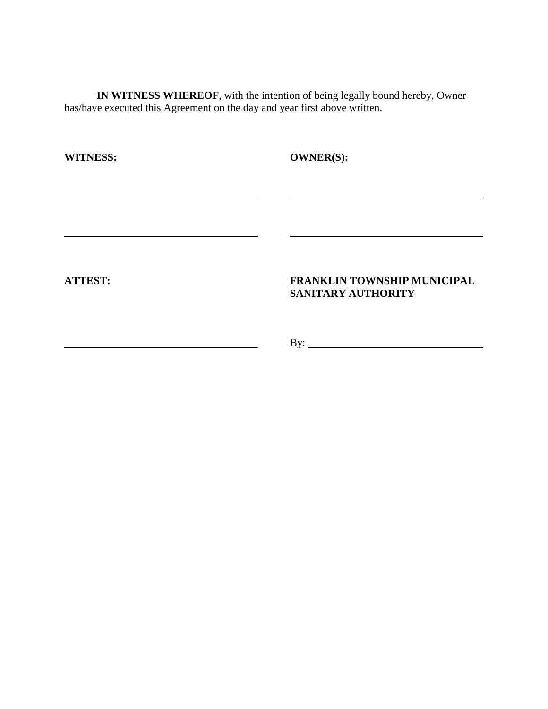**IN WITNESS WHEREOF**, with the intention of being legally bound hereby, Owner has/have executed this Agreement on the day and year first above written.

| <b>WITNESS:</b> | <b>OWNER(S):</b>                                                |
|-----------------|-----------------------------------------------------------------|
|                 |                                                                 |
|                 |                                                                 |
|                 |                                                                 |
| <b>ATTEST:</b>  | <b>FRANKLIN TOWNSHIP MUNICIPAL</b><br><b>SANITARY AUTHORITY</b> |
|                 | By:                                                             |